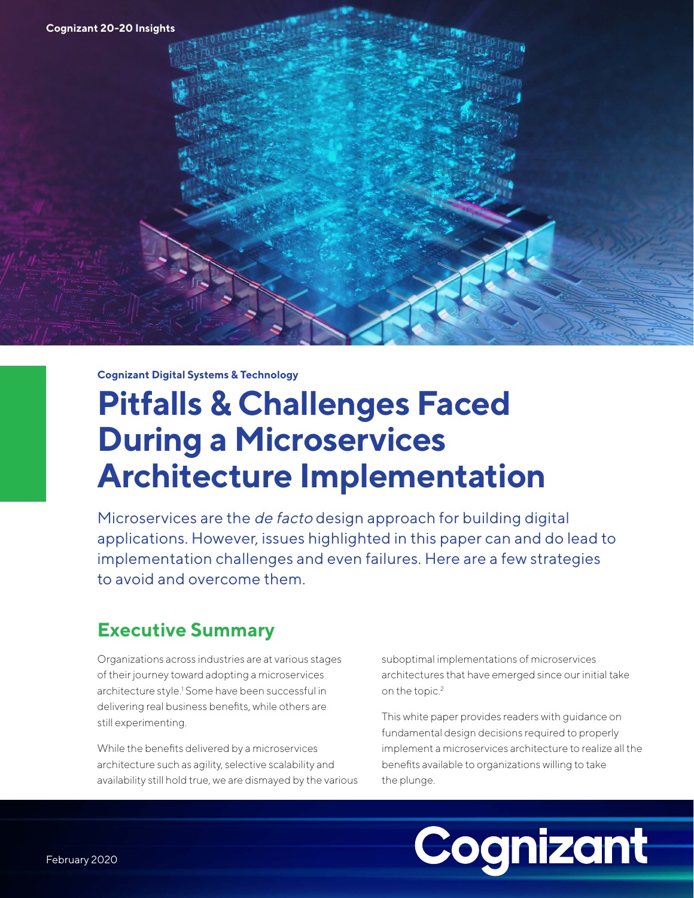<span id="page-0-0"></span>**Cognizant Digital Systems & Technology**

# **Pitfalls & Challenges Faced During a Microservices Architecture Implementation**

Microservices are the de facto design approach for building digital applications. However, issues highlighted in this paper can and do lead to implementation challenges and even failures. Here are a few strategies to avoid and overcome them.

## **Executive Summary**

Organizations across industries are at various stages of their journey toward adopting a microservices architecture style.<sup>1</sup> Some have been successful in delivering real business benefits, while others are still experimenting.

While the benefits delivered by a microservices architecture such as agility, selective scalability and availability still hold true, we are dismayed by the various suboptimal implementations of microservices architectures that have emerged since our initial take on the topic.<sup>[2](#page-18-0)</sup>

This white paper provides readers with guidance on fundamental design decisions required to properly implement a microservices architecture to realize all the benefits available to organizations willing to take the plunge.

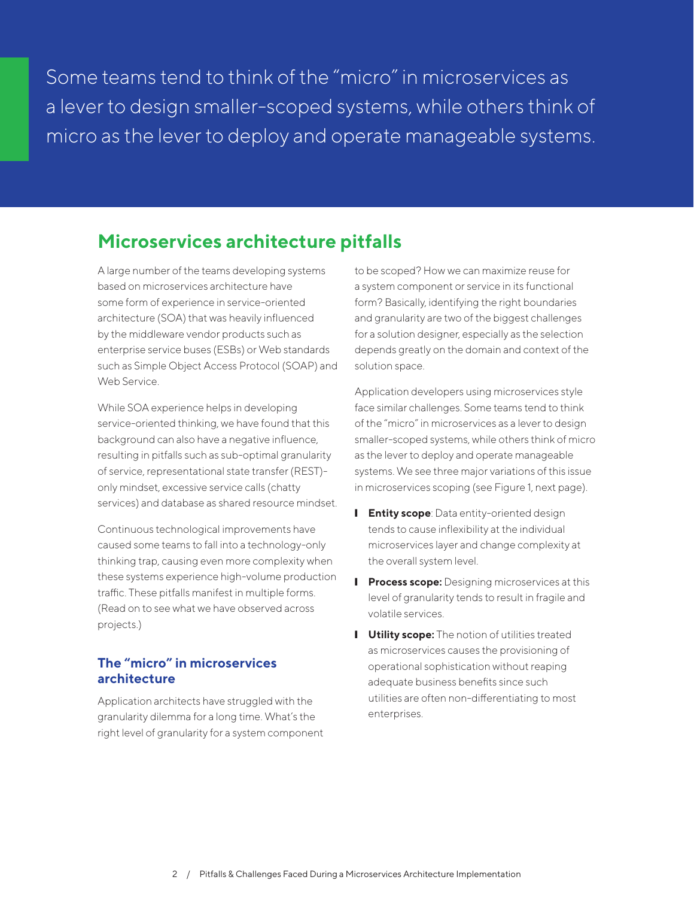Some teams tend to think of the "micro" in microservices as a lever to design smaller-scoped systems, while others think of micro as the lever to deploy and operate manageable systems.

### **Microservices architecture pitfalls**

A large number of the teams developing systems based on microservices architecture have some form of experience in service-oriented architecture (SOA) that was heavily influenced by the middleware vendor products such as enterprise service buses (ESBs) or Web standards such as Simple Object Access Protocol (SOAP) and Web Service.

While SOA experience helps in developing service-oriented thinking, we have found that this background can also have a negative influence, resulting in pitfalls such as sub-optimal granularity of service, representational state transfer (REST) only mindset, excessive service calls (chatty services) and database as shared resource mindset.

Continuous technological improvements have caused some teams to fall into a technology-only thinking trap, causing even more complexity when these systems experience high-volume production traffic. These pitfalls manifest in multiple forms. (Read on to see what we have observed across projects.)

### **The "micro" in microservices architecture**

Application architects have struggled with the granularity dilemma for a long time. What's the right level of granularity for a system component to be scoped? How we can maximize reuse for a system component or service in its functional form? Basically, identifying the right boundaries and granularity are two of the biggest challenges for a solution designer, especially as the selection depends greatly on the domain and context of the solution space.

Application developers using microservices style face similar challenges. Some teams tend to think of the "micro" in microservices as a lever to design smaller-scoped systems, while others think of micro as the lever to deploy and operate manageable systems. We see three major variations of this issue in microservices scoping (see Figure 1, next page).

- **I** Entity scope: Data entity-oriented design tends to cause inflexibility at the individual microservices layer and change complexity at the overall system level.
- **I** Process scope: Designing microservices at this level of granularity tends to result in fragile and volatile services.
- **I** Utility scope: The notion of utilities treated as microservices causes the provisioning of operational sophistication without reaping adequate business benefits since such utilities are often non-differentiating to most enterprises.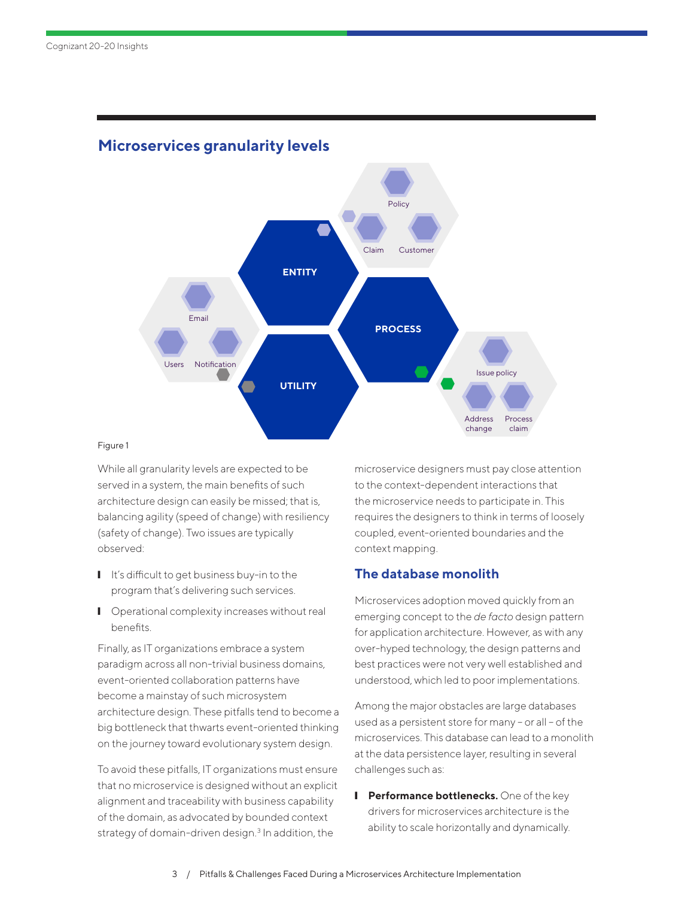

### <span id="page-2-0"></span>**Microservices granularity levels**

#### Figure 1

While all granularity levels are expected to be served in a system, the main benefits of such architecture design can easily be missed; that is, balancing agility (speed of change) with resiliency (safety of change). Two issues are typically observed:

- It's difficult to get business buy-in to the program that's delivering such services.
- Operational complexity increases without real benefits.

Finally, as IT organizations embrace a system paradigm across all non-trivial business domains, event-oriented collaboration patterns have become a mainstay of such microsystem architecture design. These pitfalls tend to become a big bottleneck that thwarts event-oriented thinking on the journey toward evolutionary system design.

To avoid these pitfalls, IT organizations must ensure that no microservice is designed without an explicit alignment and traceability with business capability of the domain, as advocated by bounded context strategy of domain-driven design.<sup>[3](#page-18-0)</sup> In addition, the

microservice designers must pay close attention to the context-dependent interactions that the microservice needs to participate in. This requires the designers to think in terms of loosely coupled, event-oriented boundaries and the context mapping.

### **The database monolith**

Microservices adoption moved quickly from an emerging concept to the *de facto* design pattern for application architecture. However, as with any over-hyped technology, the design patterns and best practices were not very well established and understood, which led to poor implementations.

Among the major obstacles are large databases used as a persistent store for many - or all - of the microservices. This database can lead to a monolith at the data persistence layer, resulting in several challenges such as:

**I** Performance bottlenecks. One of the key drivers for microservices architecture is the ability to scale horizontally and dynamically.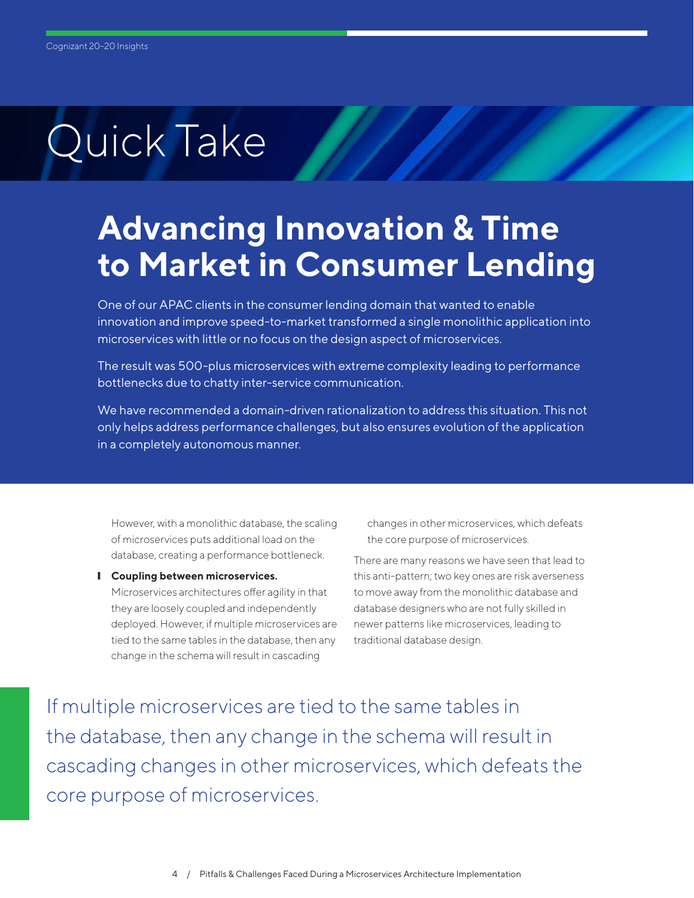## **Advancing Innovation & Time to Market in Consumer Lending**

One of our APAC clients in the consumer lending domain that wanted to enable innovation and improve speed-to-market transformed a single monolithic application into microservices with little or no focus on the design aspect of microservices.

The result was 500-plus microservices with extreme complexity leading to performance bottlenecks due to chatty inter-service communication.

We have recommended a domain-driven rationalization to address this situation. This not only helps address performance challenges, but also ensures evolution of the application in a completely autonomous manner.

However, with a monolithic database, the scaling of microservices puts additional load on the database, creating a performance bottleneck.

❙ **Coupling between microservices.**  Microservices architectures offer agility in that they are loosely coupled and independently deployed. However, if multiple microservices are tied to the same tables in the database, then any change in the schema will result in cascading

changes in other microservices, which defeats the core purpose of microservices.

There are many reasons we have seen that lead to this anti-pattern; two key ones are risk averseness to move away from the monolithic database and database designers who are not fully skilled in newer patterns like microservices, leading to traditional database design.

If multiple microservices are tied to the same tables in the database, then any change in the schema will result in cascading changes in other microservices, which defeats the core purpose of microservices.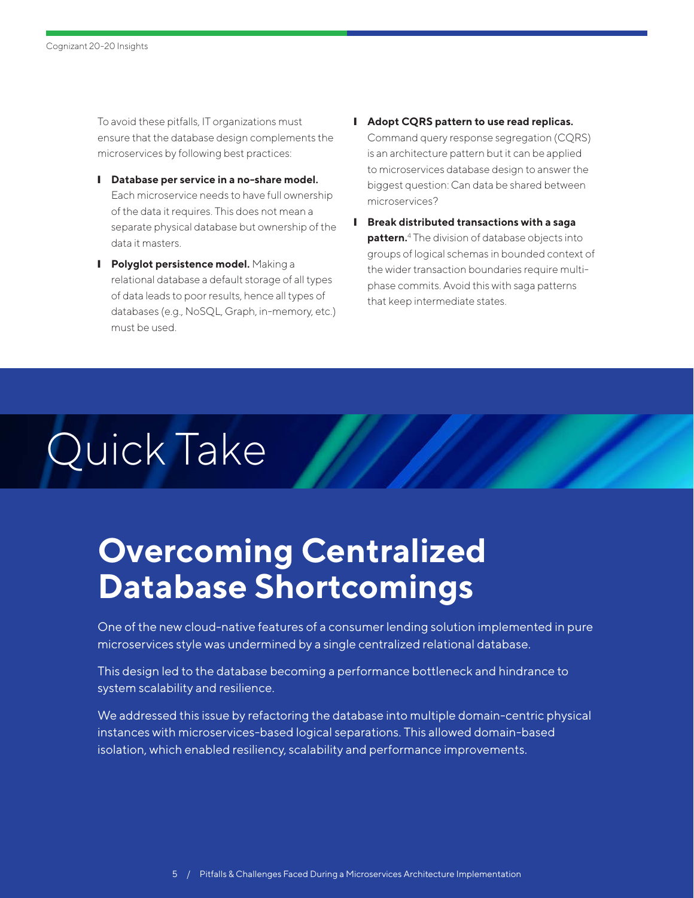<span id="page-4-0"></span>To avoid these pitfalls, IT organizations must ensure that the database design complements the microservices by following best practices:

- ❙ **Database per service in a no-share model.**  Each microservice needs to have full ownership of the data it requires. This does not mean a separate physical database but ownership of the data it masters.
- **I** Polyglot persistence model. Making a relational database a default storage of all types of data leads to poor results, hence all types of databases (e.g., NoSQL, Graph, in-memory, etc.) must be used.
- ❙ **Adopt CQRS pattern to use read replicas.**  Command query response segregation (CQRS) is an architecture pattern but it can be applied to microservices database design to answer the biggest question: Can data be shared between microservices?
- ❙ **Break distributed transactions with a saga pattern.**[4](#page-18-0) The division of database objects into groups of logical schemas in bounded context of the wider transaction boundaries require multiphase commits. Avoid this with saga patterns that keep intermediate states.

# Quick Take

# **Overcoming Centralized Database Shortcomings**

One of the new cloud-native features of a consumer lending solution implemented in pure microservices style was undermined by a single centralized relational database.

This design led to the database becoming a performance bottleneck and hindrance to system scalability and resilience.

We addressed this issue by refactoring the database into multiple domain-centric physical instances with microservices-based logical separations. This allowed domain-based isolation, which enabled resiliency, scalability and performance improvements.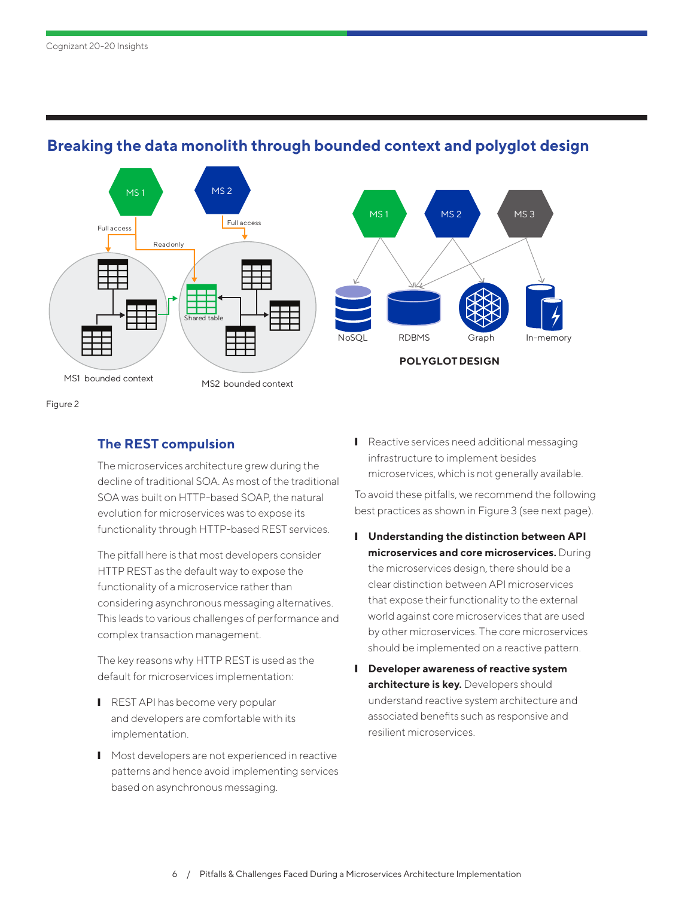

### **Breaking the data monolith through bounded context and polyglot design**

Figure 2

### **The REST compulsion**

The microservices architecture grew during the decline of traditional SOA. As most of the traditional SOA was built on HTTP-based SOAP, the natural evolution for microservices was to expose its functionality through HTTP-based REST services.

The pitfall here is that most developers consider HTTP REST as the default way to expose the functionality of a microservice rather than considering asynchronous messaging alternatives. This leads to various challenges of performance and complex transaction management.

The key reasons why HTTP REST is used as the default for microservices implementation:

- **■** REST API has become very popular and developers are comfortable with its implementation.
- Most developers are not experienced in reactive patterns and hence avoid implementing services based on asynchronous messaging.

■ Reactive services need additional messaging infrastructure to implement besides microservices, which is not generally available.

To avoid these pitfalls, we recommend the following best practices as shown in Figure 3 (see next page).

- ❙ **Understanding the distinction between API microservices and core microservices.** During the microservices design, there should be a clear distinction between API microservices that expose their functionality to the external world against core microservices that are used by other microservices. The core microservices should be implemented on a reactive pattern.
- ❙ **Developer awareness of reactive system architecture is key.** Developers should understand reactive system architecture and associated benefits such as responsive and resilient microservices.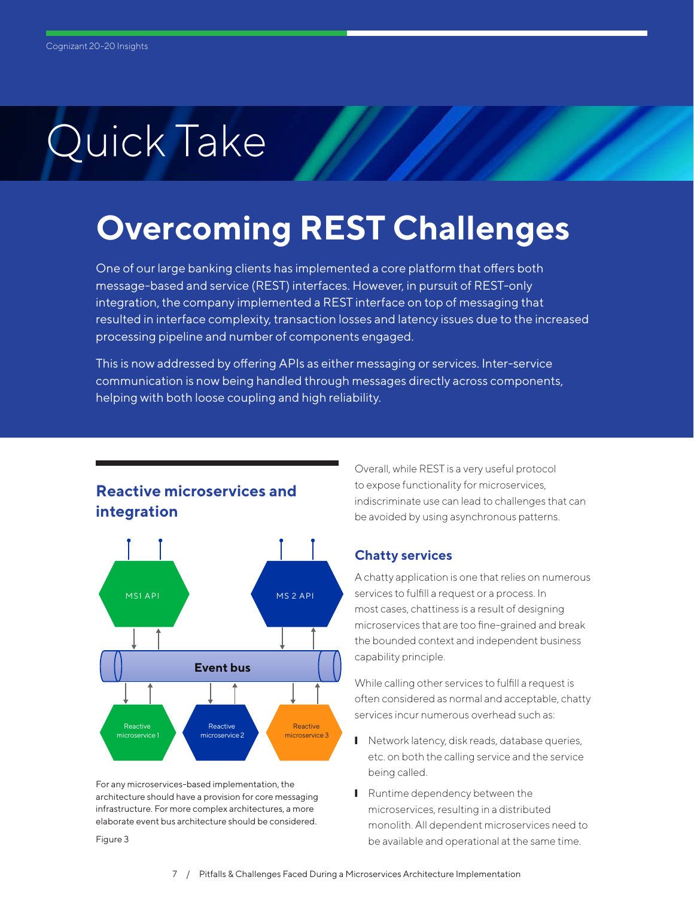## **Overcoming REST Challenges**

One of our large banking clients has implemented a core platform that offers both message-based and service (REST) interfaces. However, in pursuit of REST-only integration, the company implemented a REST interface on top of messaging that resulted in interface complexity, transaction losses and latency issues due to the increased processing pipeline and number of components engaged.

This is now addressed by offering APIs as either messaging or services. Inter-service communication is now being handled through messages directly across components, helping with both loose coupling and high reliability.

### **Reactive microservices and integration**



For any microservices-based implementation, the architecture should have a provision for core messaging infrastructure. For more complex architectures, a more elaborate event bus architecture should be considered.

Figure 3

Overall, while REST is a very useful protocol to expose functionality for microservices, indiscriminate use can lead to challenges that can be avoided by using asynchronous patterns.

### **Chatty services**

A chatty application is one that relies on numerous services to fulfill a request or a process. In most cases, chattiness is a result of designing microservices that are too fine-grained and break the bounded context and independent business capability principle.

While calling other services to fulfill a request is often considered as normal and acceptable, chatty services incur numerous overhead such as:

- Network latency, disk reads, database queries, etc. on both the calling service and the service being called.
- **■** Runtime dependency between the microservices, resulting in a distributed monolith. All dependent microservices need to be available and operational at the same time.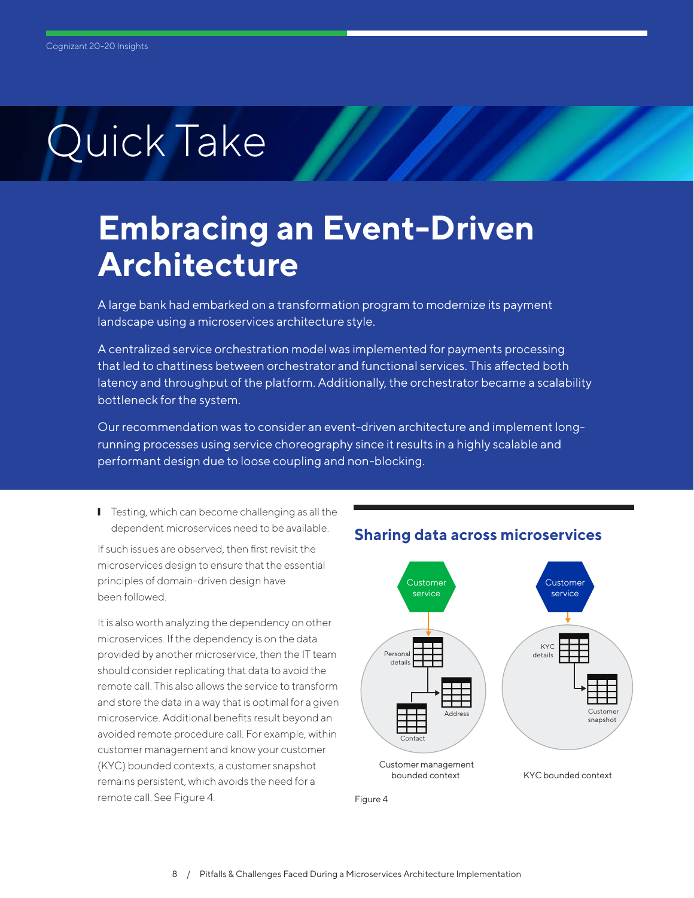## **Embracing an Event-Driven Architecture**

A large bank had embarked on a transformation program to modernize its payment landscape using a microservices architecture style.

A centralized service orchestration model was implemented for payments processing that led to chattiness between orchestrator and functional services. This affected both latency and throughput of the platform. Additionally, the orchestrator became a scalability bottleneck for the system.

Our recommendation was to consider an event-driven architecture and implement longrunning processes using service choreography since it results in a highly scalable and performant design due to loose coupling and non-blocking.

■ Testing, which can become challenging as all the dependent microservices need to be available.

If such issues are observed, then first revisit the microservices design to ensure that the essential principles of domain-driven design have been followed.

It is also worth analyzing the dependency on other microservices. If the dependency is on the data provided by another microservice, then the IT team should consider replicating that data to avoid the remote call. This also allows the service to transform and store the data in a way that is optimal for a given microservice. Additional benefits result beyond an avoided remote procedure call. For example, within customer management and know your customer (KYC) bounded contexts, a customer snapshot remains persistent, which avoids the need for a remote call. See Figure 4.



**Sharing data across microservices**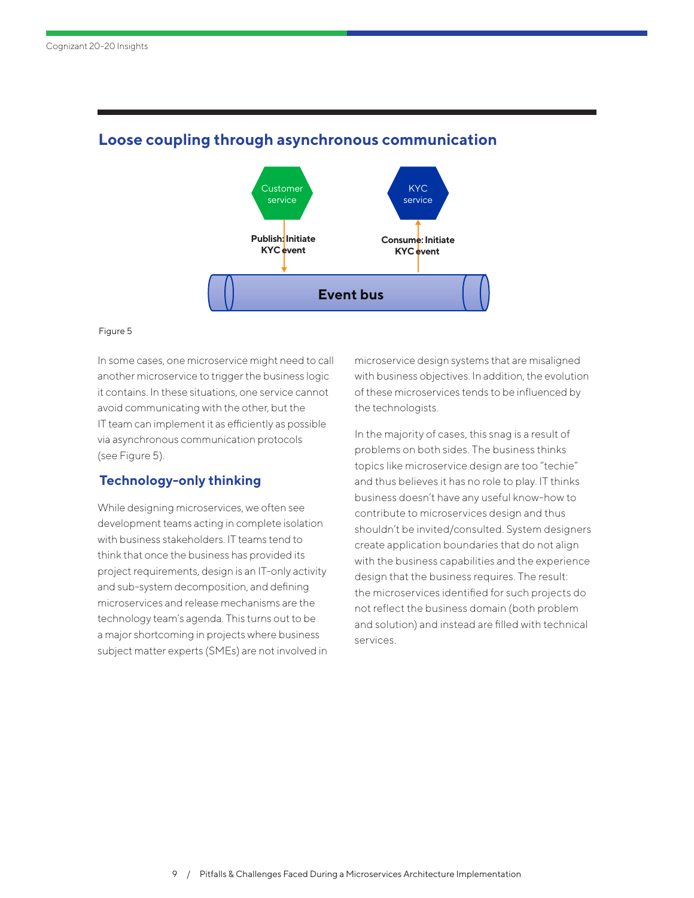

### **Loose coupling through asynchronous communication**

#### Figure 5

In some cases, one microservice might need to call another microservice to trigger the business logic it contains. In these situations, one service cannot avoid communicating with the other, but the IT team can implement it as efficiently as possible via asynchronous communication protocols (see Figure 5).

### **Technology-only thinking**

While designing microservices, we often see development teams acting in complete isolation with business stakeholders. IT teams tend to think that once the business has provided its project requirements, design is an IT-only activity and sub-system decomposition, and defining microservices and release mechanisms are the technology team's agenda. This turns out to be a major shortcoming in projects where business subject matter experts (SMEs) are not involved in microservice design systems that are misaligned with business objectives. In addition, the evolution of these microservices tends to be influenced by the technologists.

In the majority of cases, this snag is a result of problems on both sides. The business thinks topics like microservice design are too "techie" and thus believes it has no role to play. IT thinks business doesn't have any useful know-how to contribute to microservices design and thus shouldn't be invited/consulted. System designers create application boundaries that do not align with the business capabilities and the experience design that the business requires. The result: the microservices identified for such projects do not reflect the business domain (both problem and solution) and instead are filled with technical services.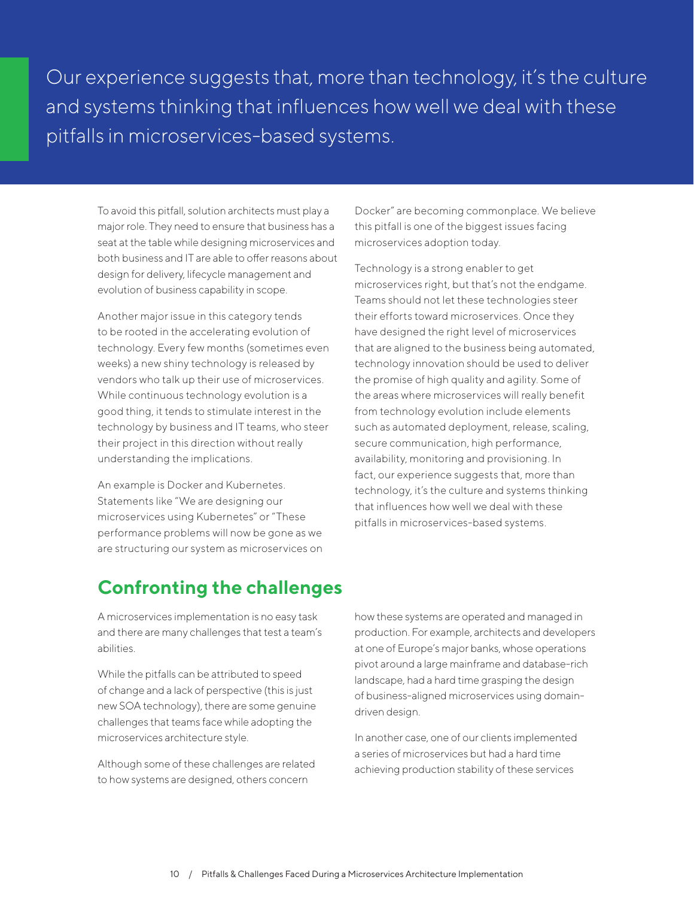Our experience suggests that, more than technology, it's the culture and systems thinking that influences how well we deal with these pitfalls in microservices-based systems.

To avoid this pitfall, solution architects must play a major role. They need to ensure that business has a seat at the table while designing microservices and both business and IT are able to offer reasons about design for delivery, lifecycle management and evolution of business capability in scope.

Another major issue in this category tends to be rooted in the accelerating evolution of technology. Every few months (sometimes even weeks) a new shiny technology is released by vendors who talk up their use of microservices. While continuous technology evolution is a good thing, it tends to stimulate interest in the technology by business and IT teams, who steer their project in this direction without really understanding the implications.

An example is Docker and Kubernetes. Statements like "We are designing our microservices using Kubernetes" or "These performance problems will now be gone as we are structuring our system as microservices on Docker" are becoming commonplace. We believe this pitfall is one of the biggest issues facing microservices adoption today.

Technology is a strong enabler to get microservices right, but that's not the endgame. Teams should not let these technologies steer their efforts toward microservices. Once they have designed the right level of microservices that are aligned to the business being automated, technology innovation should be used to deliver the promise of high quality and agility. Some of the areas where microservices will really benefit from technology evolution include elements such as automated deployment, release, scaling, secure communication, high performance, availability, monitoring and provisioning. In fact, our experience suggests that, more than technology, it's the culture and systems thinking that influences how well we deal with these pitfalls in microservices-based systems.

### **Confronting the challenges**

A microservices implementation is no easy task and there are many challenges that test a team's abilities.

While the pitfalls can be attributed to speed of change and a lack of perspective (this is just new SOA technology), there are some genuine challenges that teams face while adopting the microservices architecture style.

Although some of these challenges are related to how systems are designed, others concern

how these systems are operated and managed in production. For example, architects and developers at one of Europe's major banks, whose operations pivot around a large mainframe and database-rich landscape, had a hard time grasping the design of business-aligned microservices using domaindriven design.

In another case, one of our clients implemented a series of microservices but had a hard time achieving production stability of these services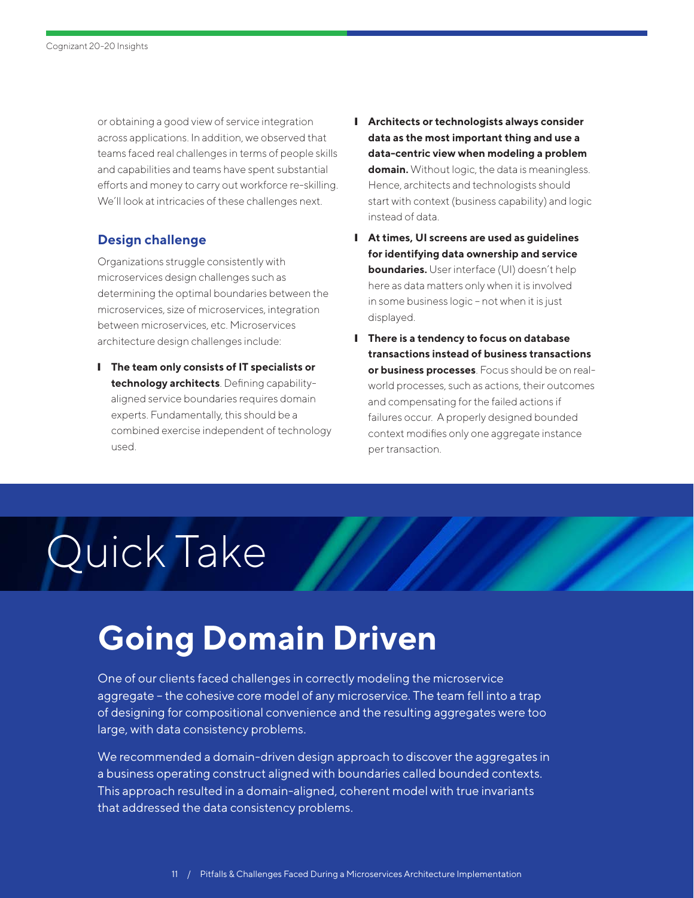or obtaining a good view of service integration across applications. In addition, we observed that teams faced real challenges in terms of people skills and capabilities and teams have spent substantial efforts and money to carry out workforce re-skilling. We'll look at intricacies of these challenges next.

### **Design challenge**

Organizations struggle consistently with microservices design challenges such as determining the optimal boundaries between the microservices, size of microservices, integration between microservices, etc. Microservices architecture design challenges include:

❙ **The team only consists of IT specialists or technology architects**. Defining capabilityaligned service boundaries requires domain experts. Fundamentally, this should be a combined exercise independent of technology used.

- ❙ **Architects or technologists always consider data as the most important thing and use a data-centric view when modeling a problem domain.** Without logic, the data is meaningless. Hence, architects and technologists should start with context (business capability) and logic instead of data.
- ❙ **At times, UI screens are used as guidelines for identifying data ownership and service boundaries.** User interface (UI) doesn't help here as data matters only when it is involved in some business logic – not when it is just displayed.
- ❙ **There is a tendency to focus on database transactions instead of business transactions or business processes**. Focus should be on realworld processes, such as actions, their outcomes and compensating for the failed actions if failures occur. A properly designed bounded context modifies only one aggregate instance per transaction.

# Quick Take

## **Going Domain Driven**

One of our clients faced challenges in correctly modeling the microservice aggregate – the cohesive core model of any microservice. The team fell into a trap of designing for compositional convenience and the resulting aggregates were too large, with data consistency problems.

We recommended a domain-driven design approach to discover the aggregates in a business operating construct aligned with boundaries called bounded contexts. This approach resulted in a domain-aligned, coherent model with true invariants that addressed the data consistency problems.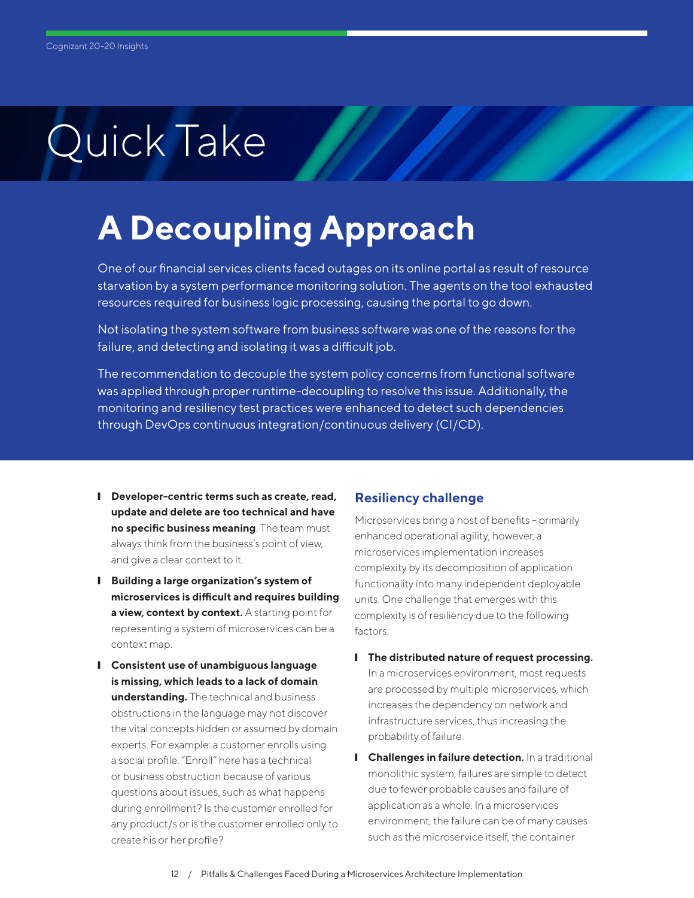# **A Decoupling Approach**

One of our financial services clients faced outages on its online portal as result of resource starvation by a system performance monitoring solution. The agents on the tool exhausted resources required for business logic processing, causing the portal to go down.

Not isolating the system software from business software was one of the reasons for the failure, and detecting and isolating it was a difficult job.

The recommendation to decouple the system policy concerns from functional software was applied through proper runtime-decoupling to resolve this issue. Additionally, the monitoring and resiliency test practices were enhanced to detect such dependencies through DevOps continuous integration/continuous delivery (CI/CD).

- ❙ **Developer-centric terms such as create, read, update and delete are too technical and have no specific business meaning**. The team must always think from the business's point of view, and give a clear context to it.
- ❙ **Building a large organization's system of microservices is difficult and requires building a view, context by context.** A starting point for representing a system of microservices can be a context map.
- ❙ **Consistent use of unambiguous language is missing, which leads to a lack of domain understanding.** The technical and business obstructions in the language may not discover the vital concepts hidden or assumed by domain experts. For example: a customer enrolls using a social profile. "Enroll" here has a technical or business obstruction because of various questions about issues, such as what happens during enrollment? Is the customer enrolled for any product/s or is the customer enrolled only to create his or her profile?

### **Resiliency challenge**

Microservices bring a host of benefits – primarily enhanced operational agility; however, a microservices implementation increases complexity by its decomposition of application functionality into many independent deployable units. One challenge that emerges with this complexity is of resiliency due to the following factors:

- ❙ **The distributed nature of request processing.**  In a microservices environment, most requests are processed by multiple microservices, which increases the dependency on network and infrastructure services, thus increasing the probability of failure.
- **I Challenges in failure detection.** In a traditional monolithic system, failures are simple to detect due to fewer probable causes and failure of application as a whole. In a microservices environment, the failure can be of many causes such as the microservice itself, the container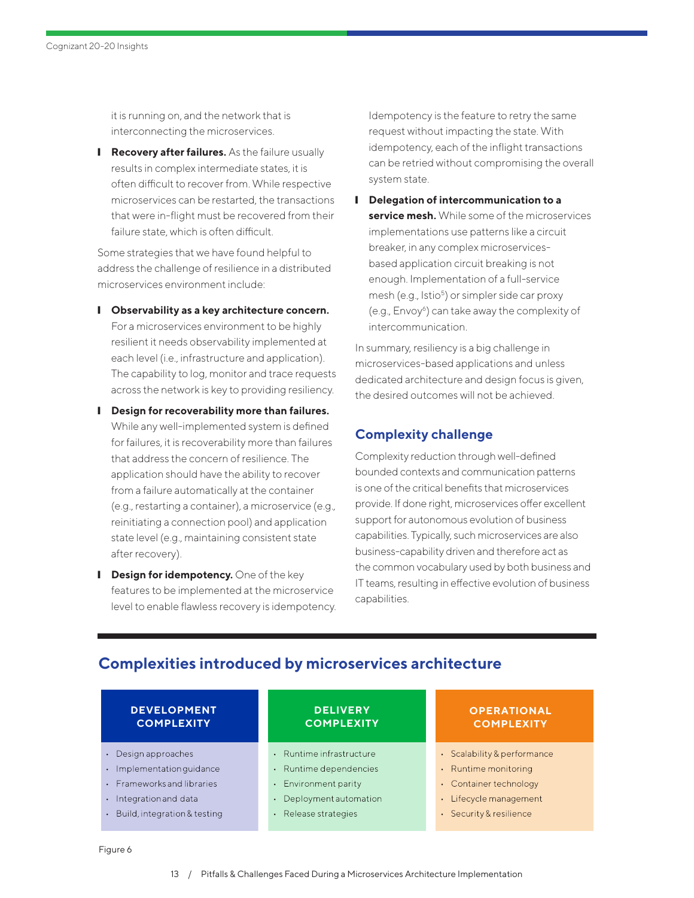<span id="page-12-0"></span>it is running on, and the network that is interconnecting the microservices.

**I** Recovery after failures. As the failure usually results in complex intermediate states, it is often difficult to recover from. While respective microservices can be restarted, the transactions that were in-flight must be recovered from their failure state, which is often difficult.

Some strategies that we have found helpful to address the challenge of resilience in a distributed microservices environment include:

- ❙ **Observability as a key architecture concern.**  For a microservices environment to be highly resilient it needs observability implemented at each level (i.e., infrastructure and application). The capability to log, monitor and trace requests across the network is key to providing resiliency.
- ❙ **Design for recoverability more than failures.**  While any well-implemented system is defined for failures, it is recoverability more than failures that address the concern of resilience. The application should have the ability to recover from a failure automatically at the container (e.g., restarting a container), a microservice (e.g., reinitiating a connection pool) and application state level (e.g., maintaining consistent state after recovery).
- **I** Design for idempotency. One of the key features to be implemented at the microservice level to enable flawless recovery is idempotency.

Idempotency is the feature to retry the same request without impacting the state. With idempotency, each of the inflight transactions can be retried without compromising the overall system state.

❙ **Delegation of intercommunication to a service mesh.** While some of the microservices implementations use patterns like a circuit breaker, in any complex microservicesbased application circuit breaking is not enough. Implementation of a full-service mesh (e.g., Istio<sup>5</sup>) or simpler side car proxy (e.g., Envoy<sup>[6](#page-18-0)</sup>) can take away the complexity of intercommunication.

In summary, resiliency is a big challenge in microservices-based applications and unless dedicated architecture and design focus is given, the desired outcomes will not be achieved.

### **Complexity challenge**

Complexity reduction through well-defined bounded contexts and communication patterns is one of the critical benefits that microservices provide. If done right, microservices offer excellent support for autonomous evolution of business capabilities. Typically, such microservices are also business-capability driven and therefore act as the common vocabulary used by both business and IT teams, resulting in effective evolution of business capabilities.

| <b>DEVELOPMENT</b><br><b>COMPLEXITY</b>   | <b>DELIVERY</b><br><b>COMPLEXITY</b> | <b>OPERATIONAL</b><br><b>COMPLEXITY</b> |
|-------------------------------------------|--------------------------------------|-----------------------------------------|
| Design approaches<br>$\bullet$            | Runtime infrastructure<br>$\bullet$  | • Scalability & performance             |
| · Implementation quidance                 | Runtime dependencies<br>$\bullet$    | • Runtime monitoring                    |
| • Frameworks and libraries                | Environment parity<br>$\bullet$      | • Container technology                  |
| Integration and data                      | Deployment automation<br>$\bullet$   | Lifecycle management<br>$\bullet$       |
| Build, integration & testing<br>$\bullet$ | Release strategies<br>$\bullet$      | • Security & resilience                 |

### **Complexities introduced by microservices architecture**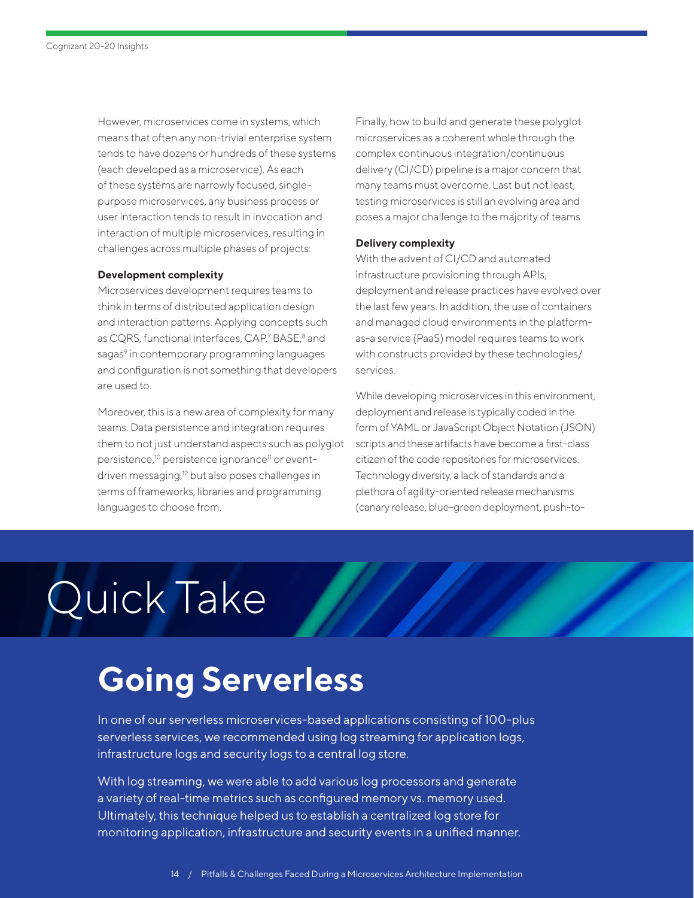<span id="page-13-0"></span>However, microservices come in systems, which means that often any non-trivial enterprise system tends to have dozens or hundreds of these systems (each developed as a microservice). As each of these systems are narrowly focused, singlepurpose microservices, any business process or user interaction tends to result in invocation and interaction of multiple microservices, resulting in challenges across multiple phases of projects:

#### **Development complexity**

Microservices development requires teams to think in terms of distributed application design and interaction patterns. Applying concepts such as CQRS, functional interfaces, CAP,<sup>7</sup> BASE,<sup>8</sup> and sagas<sup>9</sup> in contemporary programming languages and configuration is not something that developers are used to.

Moreover, this is a new area of complexity for many teams. Data persistence and integration requires them to not just understand aspects such as polyglot persistence,<sup>10</sup> persistence ignorance<sup>11</sup> or eventdriven messaging,<sup>12</sup> but also poses challenges in terms of frameworks, libraries and programming languages to choose from.

Finally, how to build and generate these polyglot microservices as a coherent whole through the complex continuous integration/continuous delivery (CI/CD) pipeline is a major concern that many teams must overcome. Last but not least, testing microservices is still an evolving area and poses a major challenge to the majority of teams.

#### **Delivery complexity**

With the advent of CI/CD and automated infrastructure provisioning through APIs, deployment and release practices have evolved over the last few years. In addition, the use of containers and managed cloud environments in the platformas-a service (PaaS) model requires teams to work with constructs provided by these technologies/ services.

While developing microservices in this environment, deployment and release is typically coded in the form of YAML or JavaScript Object Notation (JSON) scripts and these artifacts have become a first-class citizen of the code repositories for microservices. Technology diversity, a lack of standards and a plethora of agility-oriented release mechanisms (canary release, blue-green deployment, push-to-

# Quick Take

# **Going Serverless**

In one of our serverless microservices-based applications consisting of 100-plus serverless services, we recommended using log streaming for application logs, infrastructure logs and security logs to a central log store.

With log streaming, we were able to add various log processors and generate a variety of real-time metrics such as configured memory vs. memory used. Ultimately, this technique helped us to establish a centralized log store for monitoring application, infrastructure and security events in a unified manner.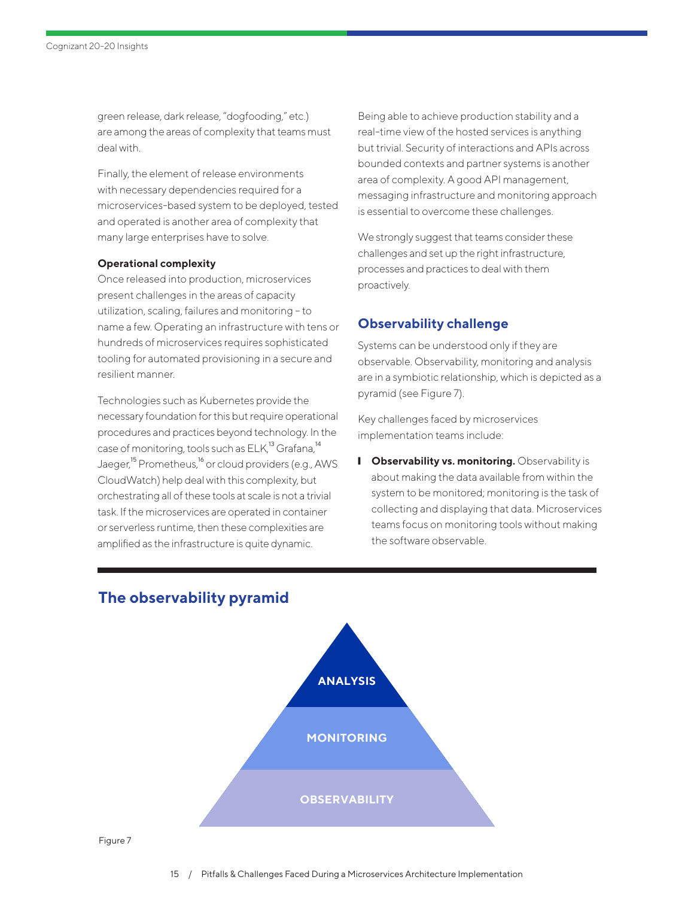<span id="page-14-0"></span>green release, dark release, "dogfooding," etc.) are among the areas of complexity that teams must deal with.

Finally, the element of release environments with necessary dependencies required for a microservices-based system to be deployed, tested and operated is another area of complexity that many large enterprises have to solve.

#### **Operational complexity**

Once released into production, microservices present challenges in the areas of capacity utilization, scaling, failures and monitoring - to name a few. Operating an infrastructure with tens or hundreds of microservices requires sophisticated tooling for automated provisioning in a secure and resilient manner.

Technologies such as Kubernetes provide the necessary foundation for this but require operational procedures and practices beyond technology. In the case of monitoring, tools such as  $ELK<sup>13</sup>$  $ELK<sup>13</sup>$  $ELK<sup>13</sup>$  Grafana,<sup>[14](#page-18-0)</sup> Jaeger,<sup>[15](#page-18-0)</sup> Prometheus,<sup>[16](#page-18-0)</sup> or cloud providers (e.g., AWS CloudWatch) help deal with this complexity, but orchestrating all of these tools at scale is not a trivial task. If the microservices are operated in container or serverless runtime, then these complexities are amplified as the infrastructure is quite dynamic.

Being able to achieve production stability and a real-time view of the hosted services is anything but trivial. Security of interactions and APIs across bounded contexts and partner systems is another area of complexity. A good API management, messaging infrastructure and monitoring approach is essential to overcome these challenges.

We strongly suggest that teams consider these challenges and set up the right infrastructure, processes and practices to deal with them proactively.

### **Observability challenge**

Systems can be understood only if they are observable. Observability, monitoring and analysis are in a symbiotic relationship, which is depicted as a pyramid (see Figure 7).

Key challenges faced by microservices implementation teams include:

**I** Observability vs. monitoring. Observability is about making the data available from within the system to be monitored; monitoring is the task of collecting and displaying that data. Microservices teams focus on monitoring tools without making the software observable.



### **The observability pyramid**

Figure 7

15 / Pitfalls & Challenges Faced During a Microservices Architecture Implementation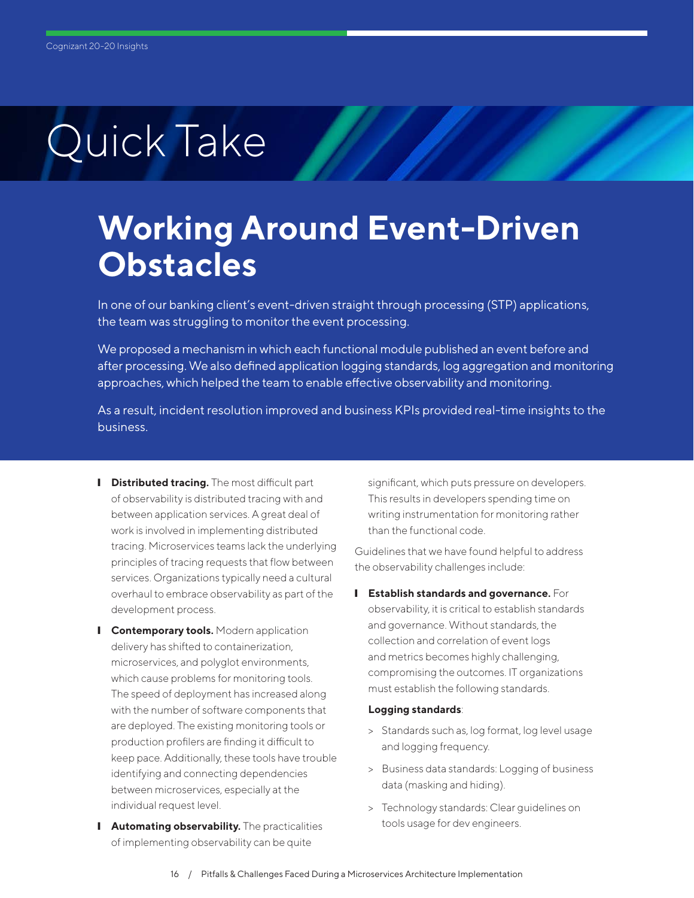## **Working Around Event-Driven Obstacles**

In one of our banking client's event-driven straight through processing (STP) applications, the team was struggling to monitor the event processing.

We proposed a mechanism in which each functional module published an event before and after processing. We also defined application logging standards, log aggregation and monitoring approaches, which helped the team to enable effective observability and monitoring.

As a result, incident resolution improved and business KPIs provided real-time insights to the business.

- **I** Distributed tracing. The most difficult part of observability is distributed tracing with and between application services. A great deal of work is involved in implementing distributed tracing. Microservices teams lack the underlying principles of tracing requests that flow between services. Organizations typically need a cultural overhaul to embrace observability as part of the development process.
- **I** Contemporary tools. Modern application delivery has shifted to containerization, microservices, and polyglot environments, which cause problems for monitoring tools. The speed of deployment has increased along with the number of software components that are deployed. The existing monitoring tools or production profilers are finding it difficult to keep pace. Additionally, these tools have trouble identifying and connecting dependencies between microservices, especially at the individual request level.
- **I** Automating observability. The practicalities of implementing observability can be quite

significant, which puts pressure on developers. This results in developers spending time on writing instrumentation for monitoring rather than the functional code.

Guidelines that we have found helpful to address the observability challenges include:

**I** Establish standards and governance. For observability, it is critical to establish standards and governance. Without standards, the collection and correlation of event logs and metrics becomes highly challenging, compromising the outcomes. IT organizations must establish the following standards.

### **Logging standards**:

- > Standards such as, log format, log level usage and logging frequency.
- > Business data standards: Logging of business data (masking and hiding).
- > Technology standards: Clear guidelines on tools usage for dev engineers.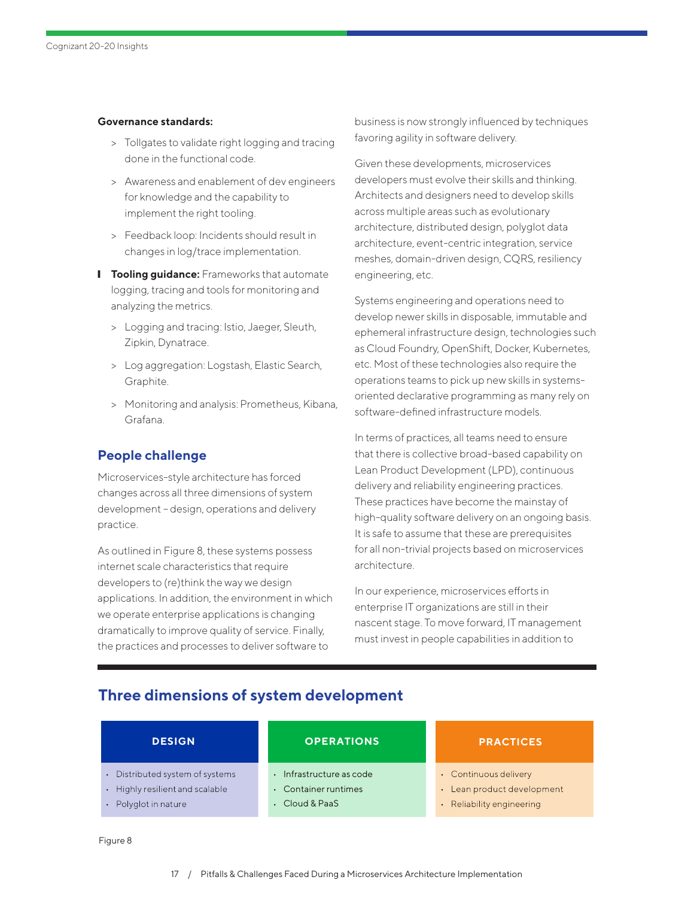### **Governance standards:**

- > Tollgates to validate right logging and tracing done in the functional code.
- > Awareness and enablement of dev engineers for knowledge and the capability to implement the right tooling.
- > Feedback loop: Incidents should result in changes in log/trace implementation.
- **I** Tooling guidance: Frameworks that automate logging, tracing and tools for monitoring and analyzing the metrics.
	- > Logging and tracing: Istio, Jaeger, Sleuth, Zipkin, Dynatrace.
	- > Log aggregation: Logstash, Elastic Search, Graphite.
	- > Monitoring and analysis: Prometheus, Kibana, Grafana.

### **People challenge**

Microservices-style architecture has forced changes across all three dimensions of system development – design, operations and delivery practice.

As outlined in Figure 8, these systems possess internet scale characteristics that require developers to (re)think the way we design applications. In addition, the environment in which we operate enterprise applications is changing dramatically to improve quality of service. Finally, the practices and processes to deliver software to

business is now strongly influenced by techniques favoring agility in software delivery.

Given these developments, microservices developers must evolve their skills and thinking. Architects and designers need to develop skills across multiple areas such as evolutionary architecture, distributed design, polyglot data architecture, event-centric integration, service meshes, domain-driven design, CQRS, resiliency engineering, etc.

Systems engineering and operations need to develop newer skills in disposable, immutable and ephemeral infrastructure design, technologies such as Cloud Foundry, OpenShift, Docker, Kubernetes, etc. Most of these technologies also require the operations teams to pick up new skills in systemsoriented declarative programming as many rely on software-defined infrastructure models.

In terms of practices, all teams need to ensure that there is collective broad-based capability on Lean Product Development (LPD), continuous delivery and reliability engineering practices. These practices have become the mainstay of high-quality software delivery on an ongoing basis. It is safe to assume that these are prerequisites for all non-trivial projects based on microservices architecture.

In our experience, microservices efforts in enterprise IT organizations are still in their nascent stage. To move forward, IT management must invest in people capabilities in addition to

### **Three dimensions of system development**

| <b>DESIGN</b>                   | <b>OPERATIONS</b>      | <b>PRACTICES</b>           |
|---------------------------------|------------------------|----------------------------|
| • Distributed system of systems | Infrastructure as code | • Continuous delivery      |
| • Highly resilient and scalable | • Container runtimes   | • Lean product development |
| • Polyglot in nature            | • Cloud & PaaS         | • Reliability engineering  |

Figure 8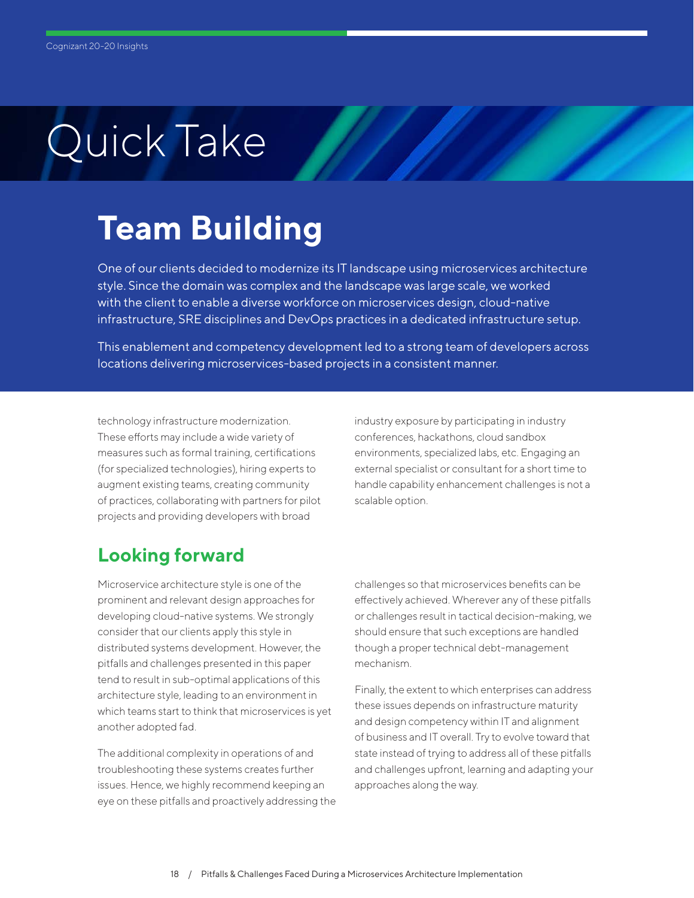# **Team Building**

One of our clients decided to modernize its IT landscape using microservices architecture style. Since the domain was complex and the landscape was large scale, we worked with the client to enable a diverse workforce on microservices design, cloud-native infrastructure, SRE disciplines and DevOps practices in a dedicated infrastructure setup.

This enablement and competency development led to a strong team of developers across locations delivering microservices-based projects in a consistent manner.

technology infrastructure modernization. These efforts may include a wide variety of measures such as formal training, certifications (for specialized technologies), hiring experts to augment existing teams, creating community of practices, collaborating with partners for pilot projects and providing developers with broad

industry exposure by participating in industry conferences, hackathons, cloud sandbox environments, specialized labs, etc. Engaging an external specialist or consultant for a short time to handle capability enhancement challenges is not a scalable option.

## **Looking forward**

Microservice architecture style is one of the prominent and relevant design approaches for developing cloud-native systems. We strongly consider that our clients apply this style in distributed systems development. However, the pitfalls and challenges presented in this paper tend to result in sub-optimal applications of this architecture style, leading to an environment in which teams start to think that microservices is yet another adopted fad.

The additional complexity in operations of and troubleshooting these systems creates further issues. Hence, we highly recommend keeping an eye on these pitfalls and proactively addressing the challenges so that microservices benefits can be effectively achieved. Wherever any of these pitfalls or challenges result in tactical decision-making, we should ensure that such exceptions are handled though a proper technical debt-management mechanism.

Finally, the extent to which enterprises can address these issues depends on infrastructure maturity and design competency within IT and alignment of business and IT overall. Try to evolve toward that state instead of trying to address all of these pitfalls and challenges upfront, learning and adapting your approaches along the way.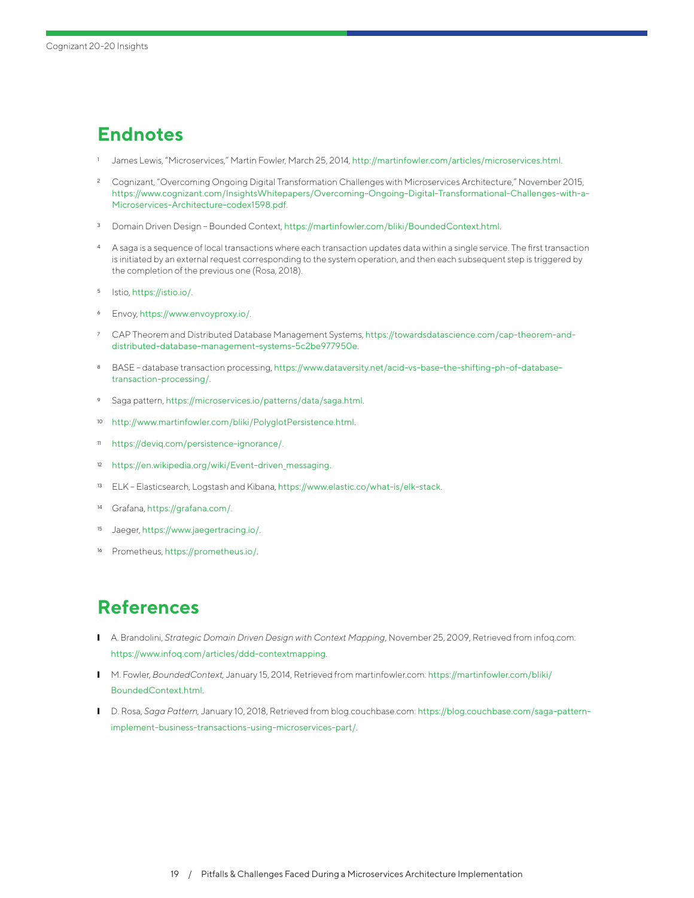## <span id="page-18-0"></span>**Endnotes**

- <sup>1</sup> [Ja](#page-0-0)mes Lewis, "Microservices," Martin Fowler, March 25, 2014, [http://martinfowler.com/articles/microservices.html.](http://martinfowler.com/articles/microservices.html)
- <sup>2</sup> [Co](#page-0-0)gnizant, "Overcoming Ongoing Digital Transformation Challenges with Microservices Architecture," November 2015, [https://www.cognizant.com/InsightsWhitepapers/Overcoming-Ongoing-Digital-Transformational-Challenges-with-a-](https://www.cognizant.com/InsightsWhitepapers/Overcoming-Ongoing-Digital-Transformational-Challenges-with-a-Microservices-Architecture-codex1598.pdf)[Microservices-Architecture-codex1598.pdf](https://www.cognizant.com/InsightsWhitepapers/Overcoming-Ongoing-Digital-Transformational-Challenges-with-a-Microservices-Architecture-codex1598.pdf).
- <sup>3</sup> [Do](#page-2-0)main Driven Design Bounded Context, <https://martinfowler.com/bliki/BoundedContext.html>.
- <sup>4</sup> [A](#page-4-0) saga is a sequence of local transactions where each transaction updates data within a single service. The first transaction is initiated by an external request corresponding to the system operation, and then each subsequent step is triggered by the completion of the previous one (Rosa, 2018).
- <sup>5</sup> [I](#page-12-0)stio, [https://istio.io/](https://istio.io).
- <sup>6</sup> [En](#page-12-0)voy, <https://www.envoyproxy.io/>.
- <sup>7</sup> [CA](#page-13-0)P Theorem and Distributed Database Management Systems, [https://towardsdatascience.com/cap-theorem-and](https://towardsdatascience.com/cap-theorem-and-distributed-database-management-systems-5c2be977950e)[distributed-database-management-systems-5c2be977950e](https://towardsdatascience.com/cap-theorem-and-distributed-database-management-systems-5c2be977950e).
- <sup>8</sup> [BA](#page-13-0)SE database transaction processing, [https://www.dataversity.net/acid-vs-base-the-shifting-ph-of-database](https://www.dataversity.net/acid-vs-base-the-shifting-ph-of-database-transaction-processing/)[transaction-processing/](https://www.dataversity.net/acid-vs-base-the-shifting-ph-of-database-transaction-processing/).
- <sup>9</sup> [S](#page-13-0)aga pattern, <https://microservices.io/patterns/data/saga.html>.
- <sup>10</sup> [h](#page-13-0)[ttp://www.martinfowler.com/bliki/PolyglotPersistence.html](http://www.martinfowler.com/bliki/PolyglotPersistence.html).
- <sup>11</sup> <https://deviq.com/persistence-ignorance/>.
- <sup>12</sup> [h](#page-13-0)[ttps://en.wikipedia.org/wiki/Event-driven\\_messaging](https://en.wikipedia.org/wiki/Event-driven_messaging).
- <sup>13</sup> [EL](#page-14-0)K Elasticsearch, Logstash and Kibana, <https://www.elastic.co/what-is/elk-stack>.
- <sup>14</sup> [G](#page-14-0)rafana, <https://grafana.com/>.
- <sup>15</sup> [Ja](#page-14-0)eger, <https://www.jaegertracing.io/>.
- [Pr](#page-14-0)ometheus, <https://prometheus.io/>.

### **References**

- A. Brandolini, *Strategic Domain Driven Design with Context Mapping*, November 25, 2009, Retrieved from infoq.com: <https://www.infoq.com/articles/ddd-contextmapping>.
- ❙ M. Fowler, *BoundedContext,* January 15, 2014, Retrieved from martinfowler.com: [https://martinfowler.com/bliki/](https://martinfowler.com/bliki/BoundedContext.html) [BoundedContext.html](https://martinfowler.com/bliki/BoundedContext.html).
- ❙ D. Rosa, *Saga Pattern,* January 10, 2018, Retrieved from blog.couchbase.com: [https://blog.couchbase.com/saga-pattern](https://blog.couchbase.com/saga-pattern-implement-business-transactions-using-microservices-part/)[implement-business-transactions-using-microservices-part/](https://blog.couchbase.com/saga-pattern-implement-business-transactions-using-microservices-part/).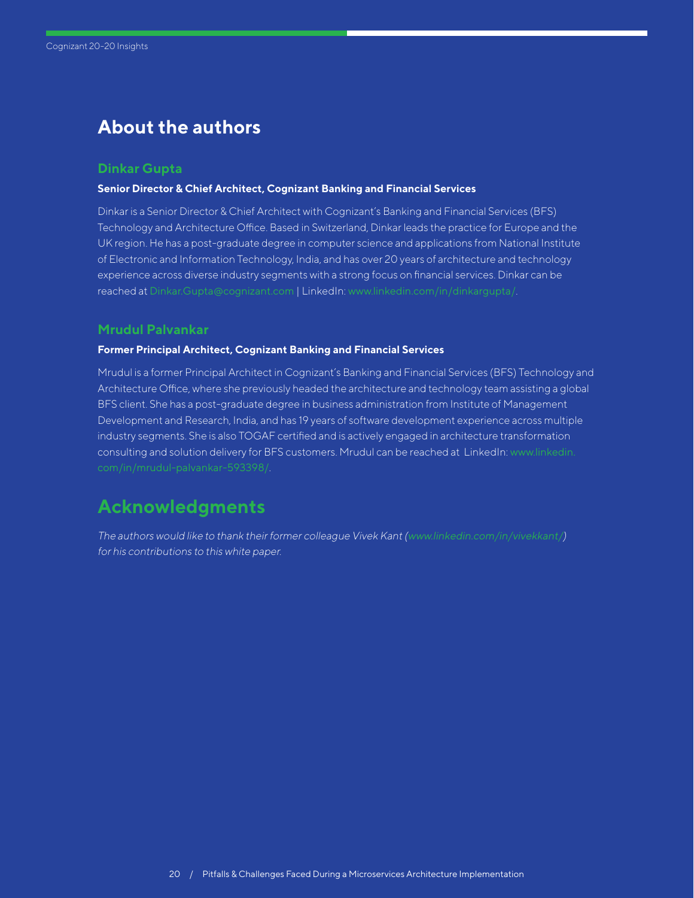### **About the authors**

### **Dinkar Gupta**

#### **Senior Director & Chief Architect, Cognizant Banking and Financial Services**

Dinkar is a Senior Director & Chief Architect with Cognizant's Banking and Financial Services (BFS) Technology and Architecture Office. Based in Switzerland, Dinkar leads the practice for Europe and the UK region. He has a post-graduate degree in computer science and applications from National Institute of Electronic and Information Technology, India, and has over 20 years of architecture and technology experience across diverse industry segments with a strong focus on financial services. Dinkar can be reached at [Dinkar.Gupta@cognizant.com](mailto:Dinkar.Gupta%40cognizant.com?subject=) | LinkedIn: [www.linkedin.com/in/dinkargupta/](https://www.linkedin.com/in/dinkargupta/).

### **Mrudul Palvankar**

### **Former Principal Architect, Cognizant Banking and Financial Services**

Mrudul is a former Principal Architect in Cognizant's Banking and Financial Services (BFS) Technology and Architecture Office, where she previously headed the architecture and technology team assisting a global BFS client. She has a post-graduate degree in business administration from Institute of Management Development and Research, India, and has 19 years of software development experience across multiple industry segments. She is also TOGAF certified and is actively engaged in architecture transformation consulting and solution delivery for BFS customers. Mrudul can be reached at LinkedIn: [www.linkedin.](http://www.linkedin.com/in/mrudul-palvankar-593398/)

### **Acknowledgments**

The authors would like to thank their former colleague Vivek Kant ([www.linkedin.com/in/vivekkant/](http://www.linkedin.com/in/vivekkant/)) for his contributions to this white paper.